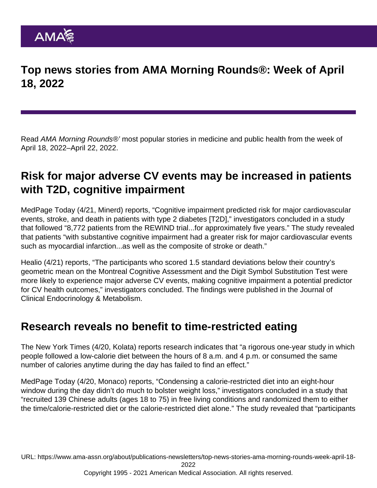Top news stories from AMA Morning Rounds®: Week of April 18, 2022

Read AMA Morning Rounds®' most popular stories in medicine and public health from the week of April 18, 2022–April 22, 2022.

# Risk for major adverse CV events may be increased in patients with T2D, cognitive impairment

[MedPage Today](https://www.medpagetoday.com/endocrinology/diabetes/98324) (4/21, Minerd) reports, "Cognitive impairment predicted risk for major cardiovascular events, stroke, and death in patients with type 2 diabetes [T2D]," investigators concluded in a study that followed "8,772 patients from the REWIND trial...for approximately five years." The study revealed that patients "with substantive cognitive impairment had a greater risk for major cardiovascular events such as myocardial infarction...as well as the composite of stroke or death."

[Healio](https://www.healio.com/news/endocrinology/20220421/risk-for-major-adverse-cv-events-elevated-with-type-2-diabetes-cognitive-impairment) (4/21) reports, "The participants who scored 1.5 standard deviations below their country's geometric mean on the Montreal Cognitive Assessment and the Digit Symbol Substitution Test were more likely to experience major adverse CV events, making cognitive impairment a potential predictor for CV health outcomes," investigators concluded. The [findings](https://academic.oup.com/jcem/advance-article-abstract/doi/10.1210/clinem/dgac200/6569991?redirectedFrom=fulltext&login=false) were published in the Journal of Clinical Endocrinology & Metabolism.

## Research reveals no benefit to time-restricted eating

The [New York Times](https://www.nytimes.com/2022/04/20/health/time-restricted-diets.html) (4/20, Kolata) reports research indicates that "a rigorous one-year study in which people followed a low-calorie diet between the hours of 8 a.m. and 4 p.m. or consumed the same number of calories anytime during the day has failed to find an effect."

[MedPage Today](https://www.medpagetoday.com/primarycare/obesity/98313) (4/20, Monaco) reports, "Condensing a calorie-restricted diet into an eight-hour window during the day didn't do much to bolster weight loss," investigators concluded in a study that "recruited 139 Chinese adults (ages 18 to 75) in free living conditions and randomized them to either the time/calorie-restricted diet or the calorie-restricted diet alone." The study revealed that "participants

URL: [https://www.ama-assn.org/about/publications-newsletters/top-news-stories-ama-morning-rounds-week-april-18-](https://www.ama-assn.org/about/publications-newsletters/top-news-stories-ama-morning-rounds-week-april-18-2022)

[2022](https://www.ama-assn.org/about/publications-newsletters/top-news-stories-ama-morning-rounds-week-april-18-2022)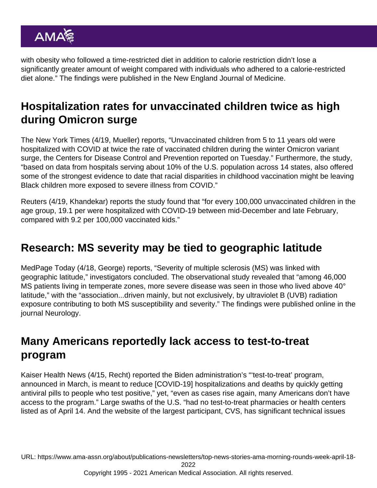with obesity who followed a time-restricted diet in addition to calorie restriction didn't lose a significantly greater amount of weight compared with individuals who adhered to a calorie-restricted diet alone." The [findings](https://www.nejm.org/doi/full/10.1056/NEJMoa2114833) were published in the New England Journal of Medicine.

# Hospitalization rates for unvaccinated children twice as high during Omicron surge

The [New York Times](https://www.nytimes.com/2022/04/19/health/omicron-unvaccinated-children.html) (4/19, Mueller) reports, "Unvaccinated children from 5 to 11 years old were hospitalized with COVID at twice the rate of vaccinated children during the winter Omicron variant surge, the Centers for Disease Control and Prevention reported on Tuesday." Furthermore, the [study,](https://www.cdc.gov/mmwr/volumes/71/wr/mm7116e1.htm?s_cid=mm7116e1_w) "based on data from hospitals serving about 10% of the U.S. population across 14 states, also offered some of the strongest evidence to date that racial disparities in childhood vaccination might be leaving Black children more exposed to severe illness from COVID."

[Reuters](https://www.reuters.com/business/healthcare-pharmaceuticals/unvaccinated-children-hospitalized-twice-rate-during-omicron-surge-us-study-2022-04-19/) (4/19, Khandekar) reports the study found that "for every 100,000 unvaccinated children in the age group, 19.1 per were hospitalized with COVID-19 between mid-December and late February, compared with 9.2 per 100,000 vaccinated kids."

## Research: MS severity may be tied to geographic latitude

[MedPage Today](https://www.medpagetoday.com/neurology/multiplesclerosis/98265) (4/18, George) reports, "Severity of multiple sclerosis (MS) was linked with geographic latitude," investigators concluded. The observational study revealed that "among 46,000 MS patients living in temperate zones, more severe disease was seen in those who lived above 40° latitude," with the "association...driven mainly, but not exclusively, by ultraviolet B (UVB) radiation exposure contributing to both MS susceptibility and severity." The [findings](https://n.neurology.org/content/early/2022/04/11/WNL.0000000000200545) were published online in the journal Neurology.

#### Many Americans reportedly lack access to test-to-treat program

[Kaiser Health News](https://khn.org/news/article/test-to-treat-biden-covid-failing-patients-pharmacies-cvs/) (4/15, Recht) reported the Biden administration's "'test-to-treat' program, announced in March, is meant to reduce [COVID-19] hospitalizations and deaths by quickly getting antiviral pills to people who test positive," yet, "even as cases rise again, many Americans don't have access to the program." Large swaths of the U.S. "had no test-to-treat pharmacies or health centers listed as of April 14. And the website of the largest participant, CVS, has significant technical issues

URL: [https://www.ama-assn.org/about/publications-newsletters/top-news-stories-ama-morning-rounds-week-april-18-](https://www.ama-assn.org/about/publications-newsletters/top-news-stories-ama-morning-rounds-week-april-18-2022) [2022](https://www.ama-assn.org/about/publications-newsletters/top-news-stories-ama-morning-rounds-week-april-18-2022)